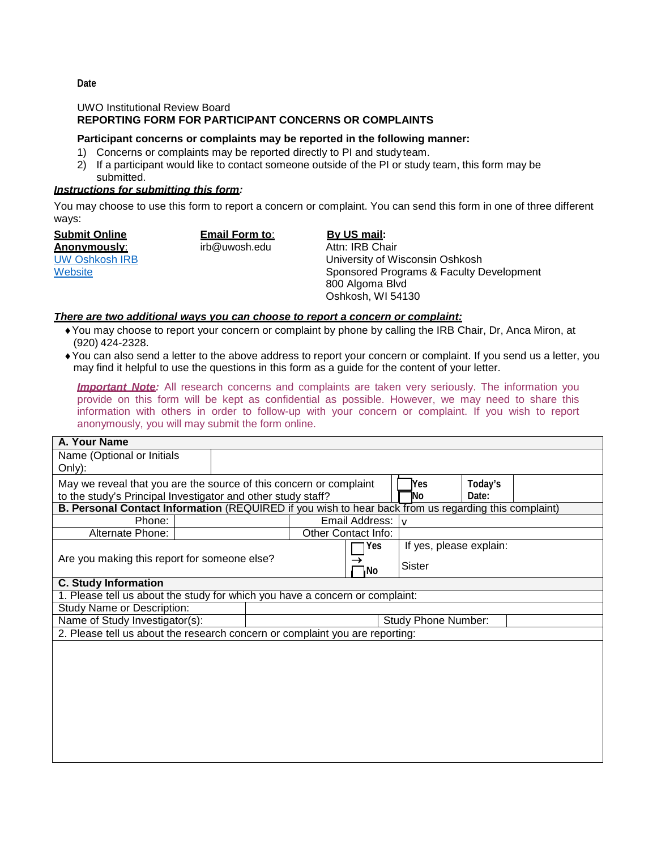## UWO Institutional Review Board

# **REPORTING FORM FOR PARTICIPANT CONCERNS OR COMPLAINTS**

### **Participant concerns or complaints may be reported in the following manner:**

- 1) Concerns or complaints may be reported directly to PI and studyteam.
- 2) If a participant would like to contact someone outside of the PI or study team, this form may be submitted.

### *Instructions for submitting this form:*

You may choose to use this form to report a concern or complaint. You can send this form in one of three different ways:

**Submit Online Anonymously**: [UW Oshkosh IRB](http://grants.uwosh.edu/sample-page/research-compliance/institutional-review-board-irb/) **[Website](http://grants.uwosh.edu/sample-page/research-compliance/institutional-review-board-irb/)** 

**Email Form to**: [irb@uwosh.edu](mailto:irb@uwosh.edu)

**By US mail:**

Attn: IRB Chair University of Wisconsin Oshkosh Sponsored Programs & Faculty Development 800 Algoma Blvd Oshkosh, WI 54130

#### *There are two additional ways you can choose to report a concern or complaint:*

- ♦You may choose to report your concern or complaint by phone by calling the IRB Chair, Dr, Anca Miron, at (920) 424-2328.
- ♦You can also send a letter to the above address to report your concern or complaint. If you send us a letter, you may find it helpful to use the questions in this form as a guide for the content of your letter.

**Important Note:** All research concerns and complaints are taken very seriously. The information you provide on this form will be kept as confidential as possible. However, we may need to share this information with others in order to follow-up with your concern or complaint. If you wish to report anonymously, you will may submit the form online.

| A. Your Name                                                                                                |                                                                    |                     |                            |       |                         |  |  |  |
|-------------------------------------------------------------------------------------------------------------|--------------------------------------------------------------------|---------------------|----------------------------|-------|-------------------------|--|--|--|
| Name (Optional or Initials                                                                                  |                                                                    |                     |                            |       |                         |  |  |  |
| Only):                                                                                                      |                                                                    |                     |                            |       |                         |  |  |  |
|                                                                                                             | May we reveal that you are the source of this concern or complaint |                     |                            | lYes. | Today's                 |  |  |  |
| to the study's Principal Investigator and other study staff?                                                |                                                                    |                     |                            | NΟ    | Date:                   |  |  |  |
| <b>B. Personal Contact Information</b> (REQUIRED if you wish to hear back from us regarding this complaint) |                                                                    |                     |                            |       |                         |  |  |  |
| Phone:                                                                                                      |                                                                    |                     | Email Address: V           |       |                         |  |  |  |
| Alternate Phone:                                                                                            |                                                                    | Other Contact Info: |                            |       |                         |  |  |  |
|                                                                                                             |                                                                    |                     |                            | Yes   | If yes, please explain: |  |  |  |
| Are you making this report for someone else?                                                                |                                                                    |                     |                            |       | Sister                  |  |  |  |
|                                                                                                             | 1No                                                                |                     |                            |       |                         |  |  |  |
| <b>C. Study Information</b>                                                                                 |                                                                    |                     |                            |       |                         |  |  |  |
| 1. Please tell us about the study for which you have a concern or complaint:                                |                                                                    |                     |                            |       |                         |  |  |  |
| <b>Study Name or Description:</b>                                                                           |                                                                    |                     |                            |       |                         |  |  |  |
| Name of Study Investigator(s):                                                                              |                                                                    |                     | <b>Study Phone Number:</b> |       |                         |  |  |  |
| 2. Please tell us about the research concern or complaint you are reporting:                                |                                                                    |                     |                            |       |                         |  |  |  |
|                                                                                                             |                                                                    |                     |                            |       |                         |  |  |  |
|                                                                                                             |                                                                    |                     |                            |       |                         |  |  |  |
|                                                                                                             |                                                                    |                     |                            |       |                         |  |  |  |
|                                                                                                             |                                                                    |                     |                            |       |                         |  |  |  |
|                                                                                                             |                                                                    |                     |                            |       |                         |  |  |  |

**Date**